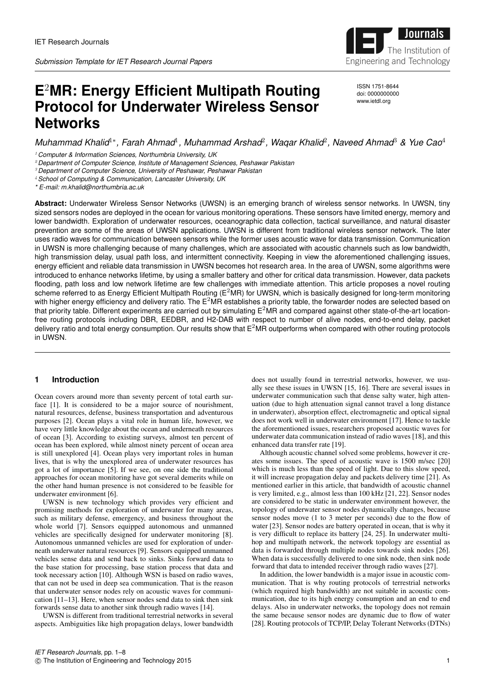

**E** <sup>2</sup>**MR: Energy Efficient Multipath Routing Protocol for Underwater Wireless Sensor Networks**

ISSN 1751-8644 doi: 0000000000 www.ietdl.org

# *Muhammad Khalid*1<sup>∗</sup> *, Farah Ahmad*<sup>1</sup> *, Muhammad Arshad*<sup>2</sup> *, Waqar Khalid*<sup>2</sup> *, Naveed Ahmad*<sup>3</sup> *& Yue Cao*<sup>4</sup>

<sup>1</sup> *Computer & Information Sciences, Northumbria University, UK*

<sup>2</sup> *Department of Computer Science, Institute of Management Sciences, Peshawar Pakistan*

<sup>3</sup> *Department of Computer Science, University of Peshawar, Peshawar Pakistan*

<sup>4</sup>*School of Computing & Communication, Lancaster University, UK*

*\* E-mail: m.khalid@northumbria.ac.uk*

**Abstract:** Underwater Wireless Sensor Networks (UWSN) is an emerging branch of wireless sensor networks. In UWSN, tiny sized sensors nodes are deployed in the ocean for various monitoring operations. These sensors have limited energy, memory and lower bandwidth. Exploration of underwater resources, oceanographic data collection, tactical surveillance, and natural disaster prevention are some of the areas of UWSN applications. UWSN is different from traditional wireless sensor network. The later uses radio waves for communication between sensors while the former uses acoustic wave for data transmission. Communication in UWSN is more challenging because of many challenges, which are associated with acoustic channels such as low bandwidth, high transmission delay, usual path loss, and intermittent connectivity. Keeping in view the aforementioned challenging issues, energy efficient and reliable data transmission in UWSN becomes hot research area. In the area of UWSN, some algorithms were introduced to enhance networks lifetime, by using a smaller battery and other for critical data transmission. However, data packets flooding, path loss and low network lifetime are few challenges with immediate attention. This article proposes a novel routing scheme referred to as Energy Efficient Multipath Routing ( $E^2MR$ ) for UWSN, which is basically designed for long-term monitoring with higher energy efficiency and delivery ratio. The  $E^2$ MR establishes a priority table, the forwarder nodes are selected based on that priority table. Different experiments are carried out by simulating  $E^2MR$  and compared against other state-of-the-art locationfree routing protocols including DBR, EEDBR, and H2-DAB with respect to number of alive nodes, end-to-end delay, packet delivery ratio and total energy consumption. Our results show that  $E^2MR$  outperforms when compared with other routing protocols in UWSN.

# **1 Introduction**

Ocean covers around more than seventy percent of total earth surface [1]. It is considered to be a major source of nourishment, natural resources, defense, business transportation and adventurous purposes [2]. Ocean plays a vital role in human life, however, we have very little knowledge about the ocean and underneath resources of ocean [3]. According to existing surveys, almost ten percent of ocean has been explored, while almost ninety percent of ocean area is still unexplored [4]. Ocean plays very important roles in human lives, that is why the unexplored area of underwater resources has got a lot of importance [5]. If we see, on one side the traditional approaches for ocean monitoring have got several demerits while on the other hand human presence is not considered to be feasible for underwater environment [6].

UWSN is new technology which provides very efficient and promising methods for exploration of underwater for many areas, such as military defense, emergency, and business throughout the whole world [7]. Sensors equipped autonomous and unmanned vehicles are specifically designed for underwater monitoring [8]. Autonomous unmanned vehicles are used for exploration of underneath underwater natural resources [9]. Sensors equipped unmanned vehicles sense data and send back to sinks. Sinks forward data to the base station for processing, base station process that data and took necessary action [10]. Although WSN is based on radio waves, that can not be used in deep sea communication. That is the reason that underwater sensor nodes rely on acoustic waves for communication [11–13]. Here, when sensor nodes send data to sink then sink forwards sense data to another sink through radio waves [14].

UWSN is different from traditional terrestrial networks in several aspects. Ambiguities like high propagation delays, lower bandwidth does not usually found in terrestrial networks, however, we usually see these issues in UWSN [15, 16]. There are several issues in underwater communication such that dense salty water, high attenuation (due to high attenuation signal cannot travel a long distance in underwater), absorption effect, electromagnetic and optical signal does not work well in underwater environment [17]. Hence to tackle the aforementioned issues, researchers proposed acoustic waves for underwater data communication instead of radio waves [18], and this enhanced data transfer rate [19].

Although acoustic channel solved some problems, however it creates some issues. The speed of acoustic wave is 1500 m/sec [20] which is much less than the speed of light. Due to this slow speed, it will increase propagation delay and packets delivery time [21]. As mentioned earlier in this article, that bandwidth of acoustic channel is very limited, e.g., almost less than 100 kHz [21, 22]. Sensor nodes are considered to be static in underwater environment however, the topology of underwater sensor nodes dynamically changes, because sensor nodes move (1 to 3 meter per seconds) due to the flow of water [23]. Sensor nodes are battery operated in ocean, that is why it is very difficult to replace its battery [24, 25]. In underwater multihop and multipath network, the network topology are essential as data is forwarded through multiple nodes towards sink nodes [26]. When data is successfully delivered to one sink node, then sink node forward that data to intended receiver through radio waves [27].

In addition, the lower bandwidth is a major issue in acoustic communication. That is why routing protocols of terrestrial networks (which required high bandwidth) are not suitable in acoustic communication, due to its high energy consumption and an end to end delays. Also in underwater networks, the topology does not remain the same because sensor nodes are dynamic due to flow of water [28]. Routing protocols of TCP/IP, Delay Tolerant Networks (DTNs)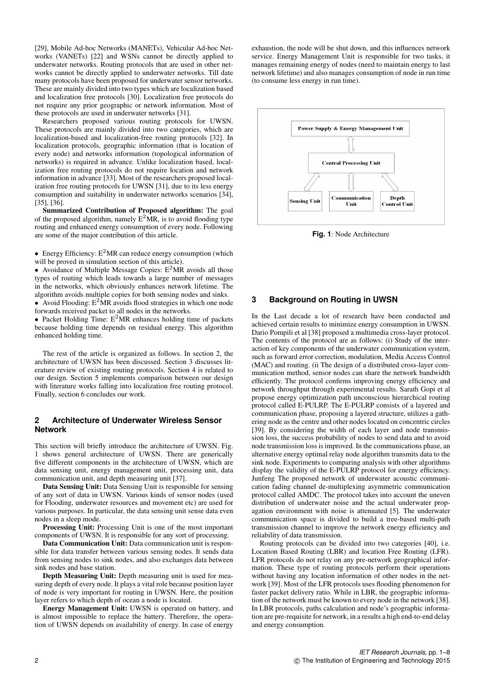[29], Mobile Ad-hoc Networks (MANETs), Vehicular Ad-hoc Networks (VANETs) [22] and WSNs cannot be directly applied to underwater networks. Routing protocols that are used in other networks cannot be directly applied to underwater networks. Till date many protocols have been proposed for underwater sensor networks. These are mainly divided into two types which are localization based and localization free protocols [30]. Localization free protocols do not require any prior geographic or network information. Most of these protocols are used in underwater networks [31].

Researchers proposed various routing protocols for UWSN. These protocols are mainly divided into two categories, which are localization-based and localization-free routing protocols [32]. In localization protocols, geographic information (that is location of every node) and networks information (topological information of networks) is required in advance. Unlike localization based, localization free routing protocols do not require location and network information in advance [33]. Most of the researchers proposed localization free routing protocols for UWSN [31], due to its less energy consumption and suitability in underwater networks scenarios [34], [35], [36].

Summarized Contribution of Proposed algorithm: The goal of the proposed algorithm, namely  $E^2MR$ , is to avoid flooding type routing and enhanced energy consumption of every node. Following are some of the major contribution of this article.

• Energy Efficiency:  $E^2MR$  can reduce energy consumption (which will be proved in simulation section of this article).

• Avoidance of Multiple Message Copies:  $E^2MR$  avoids all those types of routing which leads towards a large number of messages in the networks, which obviously enhances network lifetime. The algorithm avoids multiple copies for both sensing nodes and sinks.

• Avoid Flooding:  $E^2MR$  avoids flood strategies in which one node forwards received packet to all nodes in the networks.

• Packet Holding Time:  $E^2MR$  enhances holding time of packets because holding time depends on residual energy. This algorithm enhanced holding time.

The rest of the article is organized as follows. In section 2, the architecture of UWSN has been discussed. Section 3 discusses literature review of existing routing protocols. Section 4 is related to our design. Section 5 implements comparison between our design with literature works falling into localization free routing protocol. Finally, section 6 concludes our work.

# **2 Architecture of Underwater Wireless Sensor Network**

This section will briefly introduce the architecture of UWSN. Fig. 1 shows general architecture of UWSN. There are generically five different components in the architecture of UWSN, which are data sensing unit, energy management unit, processing unit, data communication unit, and depth measuring unit [37].

Data Sensing Unit: Data Sensing Unit is responsible for sensing of any sort of data in UWSN. Various kinds of sensor nodes (used for Flooding, underwater resources and movement etc) are used for various purposes. In particular, the data sensing unit sense data even nodes in a sleep mode.

Processing Unit: Processing Unit is one of the most important components of UWSN. It is responsible for any sort of processing.

Data Communication Unit: Data communication unit is responsible for data transfer between various sensing nodes. It sends data from sensing nodes to sink nodes, and also exchanges data between sink nodes and base station.

Depth Measuring Unit: Depth measuring unit is used for measuring depth of every node. It plays a vital role because position layer of node is very important for routing in UWSN. Here, the position layer refers to which depth of ocean a node is located.

Energy Management Unit: UWSN is operated on battery, and is almost impossible to replace the battery. Therefore, the operation of UWSN depends on availability of energy. In case of energy exhaustion, the node will be shut down, and this influences network service. Energy Management Unit is responsible for two tasks, it manages remaining energy of nodes (need to maintain energy to last network lifetime) and also manages consumption of node in run time (to consume less energy in run time).



**Fig. 1**: Node Architecture

# **3 Background on Routing in UWSN**

In the Last decade a lot of research have been conducted and achieved certain results to minimize energy consumption in UWSN. Dario Pompili et al [38] proposed a multimedia cross-layer protocol. The contents of the protocol are as follows: (i) Study of the interaction of key components of the underwater communication system, such as forward error correction, modulation, Media Access Control (MAC) and routing. (ii The design of a distributed cross-layer communication method, sensor nodes can share the network bandwidth efficiently. The protocol confirms improving energy efficiency and network throughput through experimental results. Sarath Gopi et al propose energy optimization path unconscious hierarchical routing protocol called E-PULRP. The E-PULRP consists of a layered and communication phase, proposing a layered structure, utilizes a gathering node as the centre and other nodes located on concentric circles [39]. By considering the width of each layer and node transmission loss, the success probability of nodes to send data and to avoid node transmission loss is improved. In the communications phase, an alternative energy optimal relay node algorithm transmits data to the sink node. Experiments to comparing analysis with other algorithms display the validity of the E-PULRP protocol for energy efficiency. Junfeng The proposed network of underwater acoustic communication fading channel de-multiplexing asymmetric communication protocol called AMDC. The protocol takes into account the uneven distribution of underwater noise and the actual underwater propagation environment with noise is attenuated [5]. The underwater communication space is divided to build a tree-based multi-path transmission channel to improve the network energy efficiency and reliability of data transmission.

Routing protocols can be divided into two categories [40], i.e. Location Based Routing (LBR) and location Free Routing (LFR). LFR protocols do not relay on any pre-network geographical information. These type of routing protocols perform their operations without having any location information of other nodes in the network [39]. Most of the LFR protocols uses flooding phenomenon for faster packet delivery ratio. While in LBR, the geographic information of the network must be known to every node in the network [38]. In LBR protocols, paths calculation and node's geographic information are pre-requisite for network, in a results a high end-to-end delay and energy consumption.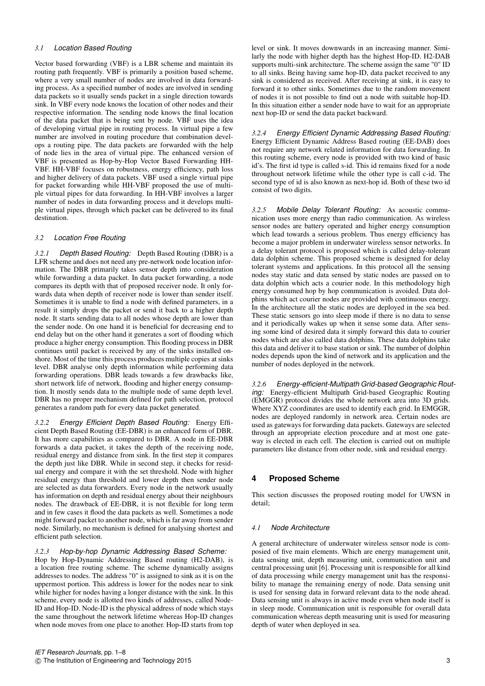# *3.1 Location Based Routing*

Vector based forwarding (VBF) is a LBR scheme and maintain its routing path frequently. VBF is primarily a position based scheme, where a very small number of nodes are involved in data forwarding process. As a specified number of nodes are involved in sending data packets so it usually sends packet in a single direction towards sink. In VBF every node knows the location of other nodes and their respective information. The sending node knows the final location of the data packet that is being sent by node. VBF uses the idea of developing virtual pipe in routing process. In virtual pipe a few number are involved in routing procedure that combination develops a routing pipe. The data packets are forwarded with the help of node lies in the area of virtual pipe. The enhanced version of VBF is presented as Hop-by-Hop Vector Based Forwarding HH-VBF. HH-VBF focuses on robustness, energy efficiency, path loss and higher delivery of data packets. VBF used a single virtual pipe for packet forwarding while HH-VBF proposed the use of multiple virtual pipes for data forwarding. In HH-VBF involves a larger number of nodes in data forwarding process and it develops multiple virtual pipes, through which packet can be delivered to its final destination<sup>1</sup>

# *3.2 Location Free Routing*

*3.2.1 Depth Based Routing:* Depth Based Routing (DBR) is a LFR scheme and does not need any pre-network node location information. The DBR primarily takes sensor depth into consideration while forwarding a data packet. In data packet forwarding, a node compares its depth with that of proposed receiver node. It only forwards data when depth of receiver node is lower than sender itself. Sometimes it is unable to find a node with defined parameters, in a result it simply drops the packet or send it back to a higher depth node. It starts sending data to all nodes whose depth are lower than the sender node. On one hand it is beneficial for decreasing end to end delay but on the other hand it generates a sort of flooding which produce a higher energy consumption. This flooding process in DBR continues until packet is received by any of the sinks installed onshore. Most of the time this process produces multiple copies at sinks level. DBR analyse only depth information while performing data forwarding operations. DBR leads towards a few drawbacks like, short network life of network, flooding and higher energy consumption. It mostly sends data to the multiple node of same depth level. DBR has no proper mechanism defined for path selection, protocol generates a random path for every data packet generated.

*3.2.2 Energy Efficient Depth Based Routing:* Energy Efficient Depth Based Routing (EE-DBR) is an enhanced form of DBR. It has more capabilities as compared to DBR. A node in EE-DBR forwards a data packet, it takes the depth of the receiving node, residual energy and distance from sink. In the first step it compares the depth just like DBR. While in second step, it checks for residual energy and compare it with the set threshold. Node with higher residual energy than threshold and lower depth then sender node are selected as data forwarders. Every node in the network usually has information on depth and residual energy about their neighbours nodes. The drawback of EE-DBR, it is not flexible for long term and in few cases it flood the data packets as well. Sometimes a node might forward packet to another node, which is far away from sender node. Similarly, no mechanism is defined for analysing shortest and efficient path selection.

## *3.2.3 Hop-by-hop Dynamic Addressing Based Scheme:*

Hop by Hop-Dynamic Addressing Based routing (H2-DAB), is a location free routing scheme. The scheme dynamically assigns addresses to nodes. The address "0" is assigned to sink as it is on the uppermost portion. This address is lower for the nodes near to sink while higher for nodes having a longer distance with the sink. In this scheme, every node is allotted two kinds of addresses, called Node-ID and Hop-ID. Node-ID is the physical address of node which stays the same throughout the network lifetime whereas Hop-ID changes when node moves from one place to another. Hop-ID starts from top

*3.2.4 Energy Efficient Dynamic Addressing Based Routing:* Energy Efficient Dynamic Address Based routing (EE-DAB) does not require any network related information for data forwarding. In this routing scheme, every node is provided with two kind of basic id's. The first id type is called s-id. This id remains fixed for a node throughout network lifetime while the other type is call c-id. The second type of id is also known as next-hop id. Both of these two id consist of two digits.

*3.2.5 Mobile Delay Tolerant Routing:* As acoustic communication uses more energy than radio communication. As wireless sensor nodes are battery operated and higher energy consumption which lead towards a serious problem. Thus energy efficiency has become a major problem in underwater wireless sensor networks. In a delay tolerant protocol is proposed which is called delay-tolerant data dolphin scheme. This proposed scheme is designed for delay tolerant systems and applications. In this protocol all the sensing nodes stay static and data sensed by static nodes are passed on to data dolphin which acts a courier node. In this methodology high energy consumed hop by hop communication is avoided. Data dolphins which act courier nodes are provided with continuous energy. In the architecture all the static nodes are deployed in the sea bed. These static sensors go into sleep mode if there is no data to sense and it periodically wakes up when it sense some data. After sensing some kind of desired data it simply forward this data to courier nodes which are also called data dolphins. These data dolphins take this data and deliver it to base station or sink. The number of dolphin nodes depends upon the kind of network and its application and the number of nodes deployed in the network.

*3.2.6 Energy-efficient-Multipath Grid-based Geographic Routing:* Energy-efficient Multipath Grid-based Geographic Routing (EMGGR) protocol divides the whole network area into 3D grids. Where XYZ coordinates are used to identify each grid. In EMGGR, nodes are deployed randomly in network area. Certain nodes are used as gateways for forwarding data packets. Gateways are selected through an appropriate election procedure and at most one gateway is elected in each cell. The election is carried out on multiple parameters like distance from other node, sink and residual energy.

# **4 Proposed Scheme**

This section discusses the proposed routing model for UWSN in detail;

## *4.1 Node Architecture*

A general architecture of underwater wireless sensor node is composied of five main elements. Which are energy management unit, data sensing unit, depth measuring unit, communication unit and central processing unit [6]. Processing unit is responsible for all kind of data processing while energy management unit has the responsibility to manage the remaining energy of node. Data sensing unit is used for sensing data in forward relevant data to the node ahead. Data sensing unit is always in active mode even when node itself is in sleep mode. Communication unit is responsible for overall data communication whereas depth measuring unit is used for measuring depth of water when deployed in sea.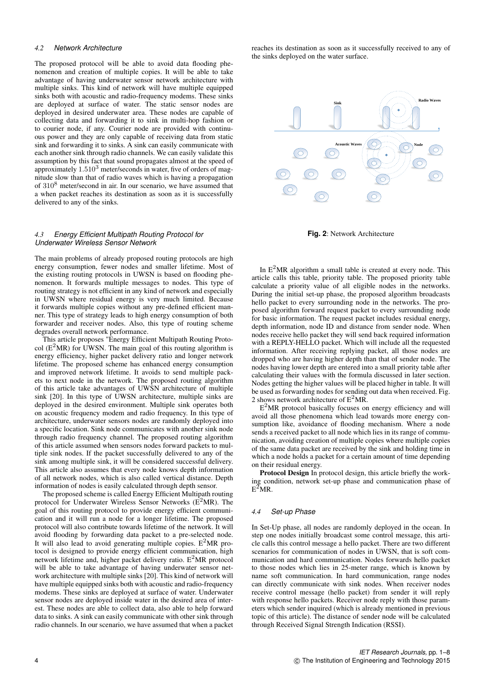## *4.2 Network Architecture*

The proposed protocol will be able to avoid data flooding phenomenon and creation of multiple copies. It will be able to take advantage of having underwater sensor network architecture with multiple sinks. This kind of network will have multiple equipped sinks both with acoustic and radio-frequency modems. These sinks are deployed at surface of water. The static sensor nodes are deployed in desired underwater area. These nodes are capable of collecting data and forwarding it to sink in multi-hop fashion or to courier node, if any. Courier node are provided with continuous power and they are only capable of receiving data from static sink and forwarding it to sinks. A sink can easily communicate with each another sink through radio channels. We can easily validate this assumption by this fact that sound propagates almost at the speed of approximately  $1.510<sup>3</sup>$  meter/seconds in water, five of orders of magnitude slow than that of radio waves which is having a propagation of 310<sup>8</sup> meter/second in air. In our scenario, we have assumed that a when packet reaches its destination as soon as it is successfully delivered to any of the sinks.

#### *4.3 Energy Efficient Multipath Routing Protocol for Underwater Wireless Sensor Network*

The main problems of already proposed routing protocols are high energy consumption, fewer nodes and smaller lifetime. Most of the existing routing protocols in UWSN is based on flooding phenomenon. It forwards multiple messages to nodes. This type of routing strategy is not efficient in any kind of network and especially in UWSN where residual energy is very much limited. Because it forwards multiple copies without any pre-defined efficient manner. This type of strategy leads to high energy consumption of both forwarder and receiver nodes. Also, this type of routing scheme degrades overall network performance.

This article proposes "Energy Efficient Multipath Routing Protocol  $(E^2MR)$  for UWSN. The main goal of this routing algorithm is energy efficiency, higher packet delivery ratio and longer network lifetime. The proposed scheme has enhanced energy consumption and improved network lifetime. It avoids to send multiple packets to next node in the network. The proposed routing algorithm of this article take advantages of UWSN architecture of multiple sink [20]. In this type of UWSN architecture, multiple sinks are deployed in the desired environment. Multiple sink operates both on acoustic frequency modem and radio frequency. In this type of architecture, underwater sensors nodes are randomly deployed into a specific location. Sink node communicates with another sink node through radio frequency channel. The proposed routing algorithm of this article assumed when sensors nodes forward packets to multiple sink nodes. If the packet successfully delivered to any of the sink among multiple sink, it will be considered successful delivery. This article also assumes that every node knows depth information of all network nodes, which is also called vertical distance. Depth information of nodes is easily calculated through depth sensor.

The proposed scheme is called Energy Efficient Multipath routing protocol for Underwater Wireless Sensor Networks ( $E^2MR$ ). The goal of this routing protocol to provide energy efficient communication and it will run a node for a longer lifetime. The proposed protocol will also contribute towards lifetime of the network. It will avoid flooding by forwarding data packet to a pre-selected node. It will also lead to avoid generating multiple copies.  $E^2MR$  protocol is designed to provide energy efficient communication, high network lifetime and, higher packet delivery ratio.  $E^2MR$  protocol will be able to take advantage of having underwater sensor network architecture with multiple sinks [20]. This kind of network will have multiple equipped sinks both with acoustic and radio-frequency modems. These sinks are deployed at surface of water. Underwater sensor nodes are deployed inside water in the desired area of interest. These nodes are able to collect data, also able to help forward data to sinks. A sink can easily communicate with other sink through radio channels. In our scenario, we have assumed that when a packet reaches its destination as soon as it successfully received to any of the sinks deployed on the water surface.



**Fig. 2**: Network Architecture

In  $E<sup>2</sup>MR$  algorithm a small table is created at every node. This article calls this table, priority table. The proposed priority table calculate a priority value of all eligible nodes in the networks. During the initial set-up phase, the proposed algorithm broadcasts hello packet to every surrounding node in the networks. The proposed algorithm forward request packet to every surrounding node for basic information. The request packet includes residual energy, depth information, node ID and distance from sender node. When nodes receive hello packet they will send back required information with a REPLY-HELLO packet. Which will include all the requested information. After receiving replying packet, all those nodes are dropped who are having higher depth than that of sender node. The nodes having lower depth are entered into a small priority table after calculating their values with the formula discussed in later section. Nodes getting the higher values will be placed higher in table. It will be used as forwarding nodes for sending out data when received. Fig. 2 shows network architecture of  $E^2MR$ .

 $E<sup>2</sup>MR$  protocol basically focuses on energy efficiency and will avoid all those phenomena which lead towards more energy consumption like, avoidance of flooding mechanism. Where a node sends a received packet to all node which lies in its range of communication, avoiding creation of multiple copies where multiple copies of the same data packet are received by the sink and holding time in which a node holds a packet for a certain amount of time depending on their residual energy.

Protocol Design In protocol design, this article briefly the working condition, network set-up phase and communication phase of  $E^2MR$ .

#### *4.4 Set-up Phase*

In Set-Up phase, all nodes are randomly deployed in the ocean. In step one nodes initially broadcast some control message, this article calls this control message a hello packet. There are two different scenarios for communication of nodes in UWSN, that is soft communication and hard communication. Nodes forwards hello packet to those nodes which lies in 25-meter range, which is known by name soft communication. In hard communication, range nodes can directly communicate with sink nodes. When receiver nodes receive control message (hello packet) from sender it will reply with response hello packets. Receiver node reply with those parameters which sender inquired (which is already mentioned in previous topic of this article). The distance of sender node will be calculated through Received Signal Strength Indication (RSSI).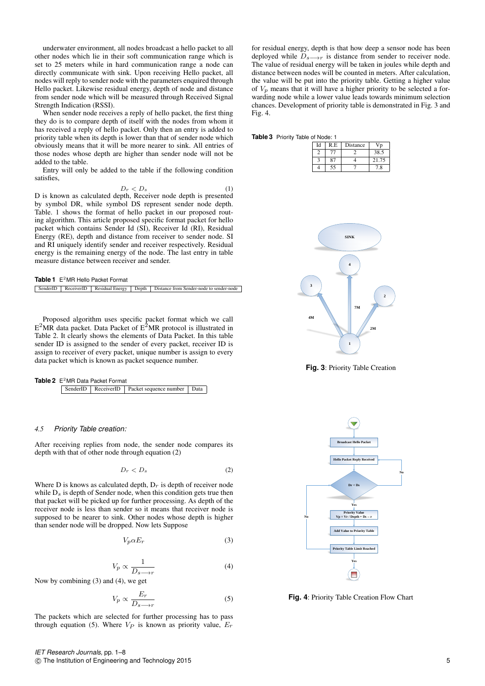underwater environment, all nodes broadcast a hello packet to all other nodes which lie in their soft communication range which is set to 25 meters while in hard communication range a node can directly communicate with sink. Upon receiving Hello packet, all nodes will reply to sender node with the parameters enquired through Hello packet. Likewise residual energy, depth of node and distance from sender node which will be measured through Received Signal Strength Indication (RSSI).

When sender node receives a reply of hello packet, the first thing they do is to compare depth of itself with the nodes from whom it has received a reply of hello packet. Only then an entry is added to priority table when its depth is lower than that of sender node which obviously means that it will be more nearer to sink. All entries of those nodes whose depth are higher than sender node will not be added to the table.

Entry will only be added to the table if the following condition satisfies,

$$
D_r < D_s \tag{1}
$$

D is known as calculated depth, Receiver node depth is presented by symbol DR, while symbol DS represent sender node depth. Table. 1 shows the format of hello packet in our proposed routing algorithm. This article proposed specific format packet for hello packet which contains Sender Id (SI), Receiver Id (RI), Residual Energy (RE), depth and distance from receiver to sender node. SI and RI uniquely identify sender and receiver respectively. Residual energy is the remaining energy of the node. The last entry in table measure distance between receiver and sender.

| <b>Table 1</b> $E^2MR$ Hello Packet Format |  |  |  |                                                                                    |
|--------------------------------------------|--|--|--|------------------------------------------------------------------------------------|
|                                            |  |  |  | SenderID ReceiverID Residual Energy Depth Distance from Sender-node to sender-node |

Proposed algorithm uses specific packet format which we call  $E^2MR$  data packet. Data Packet of  $E^2MR$  protocol is illustrated in Table 2. It clearly shows the elements of Data Packet. In this table sender ID is assigned to the sender of every packet, receiver ID is assign to receiver of every packet, unique number is assign to every data packet which is known as packet sequence number.

| <b>Table 2</b> $E^2MR$ Data Packet Format |  |                                                       |  |
|-------------------------------------------|--|-------------------------------------------------------|--|
|                                           |  | SenderID   ReceiverID   Packet sequence number   Data |  |

#### *4.5 Priority Table creation:*

After receiving replies from node, the sender node compares its depth with that of other node through equation (2)

$$
D_r < D_s \tag{2}
$$

Where D is knows as calculated depth,  $D<sub>r</sub>$  is depth of receiver node while  $D_s$  is depth of Sender node, when this condition gets true then that packet will be picked up for further processing. As depth of the receiver node is less than sender so it means that receiver node is supposed to be nearer to sink. Other nodes whose depth is higher than sender node will be dropped. Now lets Suppose

$$
V_p \alpha E_r \tag{3}
$$

$$
V_p \propto \frac{1}{D_s \rightarrow r} \tag{4}
$$

Now by combining (3) and (4), we get

$$
V_p \propto \frac{E_r}{D_{s \to r}}\tag{5}
$$

The packets which are selected for further processing has to pass through equation (5). Where  $V_P$  is known as priority value,  $E_T$ 

for residual energy, depth is that how deep a sensor node has been deployed while  $D_{s\longrightarrow r}$  is distance from sender to receiver node. The value of residual energy will be taken in joules while depth and distance between nodes will be counted in meters. After calculation, the value will be put into the priority table. Getting a higher value of  $V_p$  means that it will have a higher priority to be selected a forwarding node while a lower value leads towards minimum selection chances. Development of priority table is demonstrated in Fig. 3 and Fig. 4.

**Table 3** Priority Table of Node: 1

| Id | R.E | Distance |       |
|----|-----|----------|-------|
|    | 77. |          | 38.5  |
|    | 87  |          | 21.75 |
|    | 55  |          | 7.8   |



**Fig. 3**: Priority Table Creation



**Fig. 4**: Priority Table Creation Flow Chart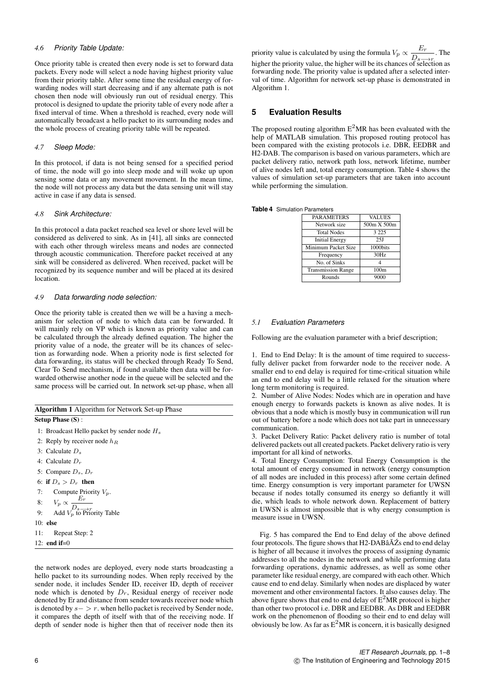## *4.6 Priority Table Update:*

Once priority table is created then every node is set to forward data packets. Every node will select a node having highest priority value from their priority table. After some time the residual energy of forwarding nodes will start decreasing and if any alternate path is not chosen then node will obviously run out of residual energy. This protocol is designed to update the priority table of every node after a fixed interval of time. When a threshold is reached, every node will automatically broadcast a hello packet to its surrounding nodes and the whole process of creating priority table will be repeated.

#### *4.7 Sleep Mode:*

In this protocol, if data is not being sensed for a specified period of time, the node will go into sleep mode and will woke up upon sensing some data or any movement movement. In the mean time, the node will not process any data but the data sensing unit will stay active in case if any data is sensed.

## *4.8 Sink Architecture:*

In this protocol a data packet reached sea level or shore level will be considered as delivered to sink. As in [41], all sinks are connected with each other through wireless means and nodes are connected through acoustic communication. Therefore packet received at any sink will be considered as delivered. When received, packet will be recognized by its sequence number and will be placed at its desired location.

## *4.9 Data forwarding node selection:*

Once the priority table is created then we will be a having a mechanism for selection of node to which data can be forwarded. It will mainly rely on VP which is known as priority value and can be calculated through the already defined equation. The higher the priority value of a node, the greater will be its chances of selection as forwarding node. When a priority node is first selected for data forwarding, its status will be checked through Ready To Send, Clear To Send mechanism, if found available then data will be forwarded otherwise another node in the queue will be selected and the same process will be carried out. In network set-up phase, when all

| <b>Algorithm 1</b> Algorithm for Network Set-up Phase |  |  |
|-------------------------------------------------------|--|--|
| Setup Phase $(S)$ :                                   |  |  |
| 1: Broadcast Hello packet by sender node $H_s$        |  |  |
| 2: Reply by receiver node $h_B$                       |  |  |
| 3: Calculate $D_s$                                    |  |  |
| 4: Calculate $D_r$                                    |  |  |
| 5: Compare $D_s$ , $D_r$                              |  |  |
| 6: if $D_s > D_r$ then                                |  |  |
| 7: Compute Priority $V_n$ .                           |  |  |
| 8: $V_p \propto \frac{E_r}{D_{s \to r}}$              |  |  |
| Add $V_p$ to Priority Table<br>9:                     |  |  |
| $10:$ else                                            |  |  |
| Repeat Step: 2<br>11:                                 |  |  |
| 12: end if= $0$                                       |  |  |

the network nodes are deployed, every node starts broadcasting a hello packet to its surrounding nodes. When reply received by the sender node, it includes Sender ID, receiver ID, depth of receiver node which is denoted by  $D_r$ , Residual energy of receiver node denoted by Er and distance from sender towards receiver node which is denoted by  $s - > r$ . when hello packet is received by Sender node, it compares the depth of itself with that of the receiving node. If depth of sender node is higher then that of receiver node then its

priority value is calculated by using the formula  $V_p \propto \frac{E_r}{D}$  $\frac{D_r}{D_s \rightarrow r}$ . The higher the priority value, the higher will be its chances of selection as forwarding node. The priority value is updated after a selected interval of time. Algorithm for network set-up phase is demonstrated in Algorithm 1.

# **5 Evaluation Results**

The proposed routing algorithm  $E^2MR$  has been evaluated with the help of MATLAB simulation. This proposed routing protocol has been compared with the existing protocols i.e. DBR, EEDBR and H2-DAB. The comparison is based on various parameters, which are packet delivery ratio, network path loss, network lifetime, number of alive nodes left and, total energy consumption. Table 4 shows the values of simulation set-up parameters that are taken into account while performing the simulation.

|  | <b>Table 4</b> Simulation Parameters |
|--|--------------------------------------|
|  |                                      |

| <b>PARAMETERS</b>         | <b>VALUES</b>    |
|---------------------------|------------------|
| Network size              | 500m X 500m      |
| <b>Total Nodes</b>        | 3 2 2 5          |
| <b>Initial Energy</b>     | 251              |
| Minimum Packet Size       | 1000bits         |
| Frequency                 | 30Hz             |
| No. of Sinks              |                  |
| <b>Transmission Range</b> | 100 <sub>m</sub> |
| Rounds                    | 9000             |

## *5.1 Evaluation Parameters*

Following are the evaluation parameter with a brief description;

1. End to End Delay: It is the amount of time required to successfully deliver packet from forwarder node to the receiver node. A smaller end to end delay is required for time-critical situation while an end to end delay will be a little relaxed for the situation where long term monitoring is required.

2. Number of Alive Nodes: Nodes which are in operation and have enough energy to forwards packets is known as alive nodes. It is obvious that a node which is mostly busy in communication will run out of battery before a node which does not take part in unnecessary communication.

3. Packet Delivery Ratio: Packet delivery ratio is number of total delivered packets out all created packets. Packet delivery ratio is very important for all kind of networks.

4. Total Energy Consumption: Total Energy Consumption is the total amount of energy consumed in network (energy consumption of all nodes are included in this process) after some certain defined time. Energy consumption is very important parameter for UWSN because if nodes totally consumed its energy so defiantly it will die, which leads to whole network down. Replacement of battery in UWSN is almost impossible that is why energy consumption is measure issue in UWSN.

Fig. 5 has compared the End to End delay of the above defined four protocols. The figure shows that H2-DABâA $\ddot{Z}$ s end to end delay is higher of all because it involves the process of assigning dynamic addresses to all the nodes in the network and while performing data forwarding operations, dynamic addresses, as well as some other parameter like residual energy, are compared with each other. Which cause end to end delay. Similarly when nodes are displaced by water movement and other environmental factors. It also causes delay. The above figure shows that end to end delay of  $E^2MR$  protocol is higher than other two protocol i.e. DBR and EEDBR. As DBR and EEDBR work on the phenomenon of flooding so their end to end delay will obviously be low. As far as  $E^2MR$  is concern, it is basically designed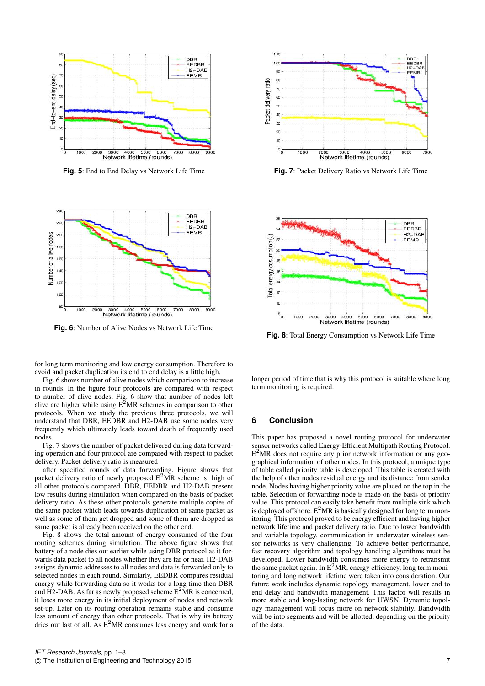

**Fig. 5**: End to End Delay vs Network Life Time



**Fig. 6**: Number of Alive Nodes vs Network Life Time

for long term monitoring and low energy consumption. Therefore to avoid and packet duplication its end to end delay is a little high.

Fig. 6 shows number of alive nodes which comparison to increase in rounds. In the figure four protocols are compared with respect to number of alive nodes. Fig. 6 show that number of nodes left alive are higher while using  $E^2MR$  schemes in comparison to other protocols. When we study the previous three protocols, we will understand that DBR, EEDBR and H2-DAB use some nodes very frequently which ultimately leads toward death of frequently used nodes.

Fig. 7 shows the number of packet delivered during data forwarding operation and four protocol are compared with respect to packet delivery. Packet delivery ratio is measured

after specified rounds of data forwarding. Figure shows that packet delivery ratio of newly proposed  $E^2MR$  scheme is high of all other protocols compared. DBR, EEDBR and H2-DAB present low results during simulation when compared on the basis of packet delivery ratio. As these other protocols generate multiple copies of the same packet which leads towards duplication of same packet as well as some of them get dropped and some of them are dropped as same packet is already been received on the other end.

Fig. 8 shows the total amount of energy consumed of the four routing schemes during simulation. The above figure shows that battery of a node dies out earlier while using DBR protocol as it forwards data packet to all nodes whether they are far or near. H2-DAB assigns dynamic addresses to all nodes and data is forwarded only to selected nodes in each round. Similarly, EEDBR compares residual energy while forwarding data so it works for a long time then DBR and H2-DAB. As far as newly proposed scheme  $E^2MR$  is concerned, it loses more energy in its initial deployment of nodes and network set-up. Later on its routing operation remains stable and consume less amount of energy than other protocols. That is why its battery dries out last of all. As  $E^2MR$  consumes less energy and work for a



**Fig. 7**: Packet Delivery Ratio vs Network Life Time



**Fig. 8**: Total Energy Consumption vs Network Life Time

longer period of time that is why this protocol is suitable where long term monitoring is required.

#### **6 Conclusion**

This paper has proposed a novel routing protocol for underwater sensor networks called Energy-Efficient Multipath Routing Protocol. E<sup>2</sup>MR does not require any prior network information or any geographical information of other nodes. In this protocol, a unique type of table called priority table is developed. This table is created with the help of other nodes residual energy and its distance from sender node. Nodes having higher priority value are placed on the top in the table. Selection of forwarding node is made on the basis of priority value. This protocol can easily take benefit from multiple sink which is deployed offshore.  $E^2MR$  is basically designed for long term monitoring. This protocol proved to be energy efficient and having higher network lifetime and packet delivery ratio. Due to lower bandwidth and variable topology, communication in underwater wireless sensor networks is very challenging. To achieve better performance, fast recovery algorithm and topology handling algorithms must be developed. Lower bandwidth consumes more energy to retransmit the same packet again. In  $E^2MR$ , energy efficiency, long term monitoring and long network lifetime were taken into consideration. Our future work includes dynamic topology management, lower end to end delay and bandwidth management. This factor will results in more stable and long-lasting network for UWSN. Dynamic topology management will focus more on network stability. Bandwidth will be into segments and will be allotted, depending on the priority of the data.